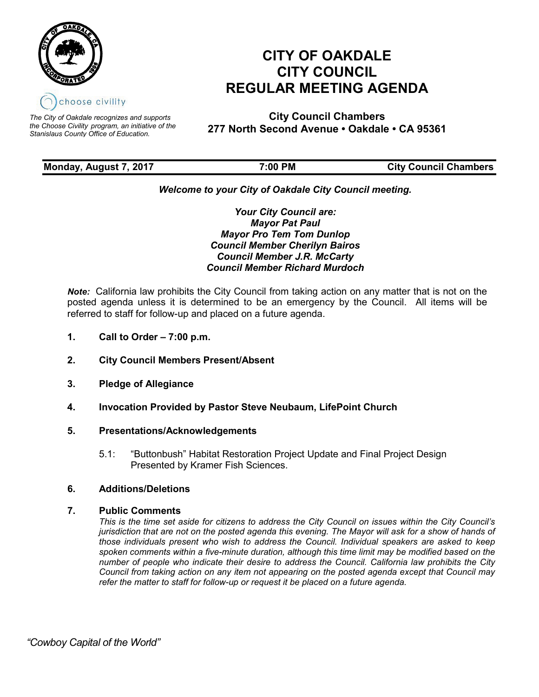

*The City of Oakdale recognizes and supports the Choose Civility program, an initiative of the Stanislaus County Office of Education.*

# **CITY OF OAKDALE CITY COUNCIL REGULAR MEETING AGENDA**

**City Council Chambers 277 North Second Avenue • Oakdale • CA 95361**

| Monday, August 7, 2017 | 7:00 PM | <b>City Council Chambers</b> |
|------------------------|---------|------------------------------|
|                        |         |                              |

# *Welcome to your City of Oakdale City Council meeting.*

*Your City Council are: Mayor Pat Paul Mayor Pro Tem Tom Dunlop Council Member Cherilyn Bairos Council Member J.R. McCarty Council Member Richard Murdoch*

*Note:* California law prohibits the City Council from taking action on any matter that is not on the posted agenda unless it is determined to be an emergency by the Council. All items will be referred to staff for follow-up and placed on a future agenda.

- **1. Call to Order – 7:00 p.m.**
- **2. City Council Members Present/Absent**
- **3. Pledge of Allegiance**
- **4. Invocation Provided by Pastor Steve Neubaum, LifePoint Church**

# **5. Presentations/Acknowledgements**

5.1: "Buttonbush" Habitat Restoration Project Update and Final Project Design Presented by Kramer Fish Sciences.

# **6. Additions/Deletions**

## **7. Public Comments**

*This is the time set aside for citizens to address the City Council on issues within the City Council's jurisdiction that are not on the posted agenda this evening. The Mayor will ask for a show of hands of those individuals present who wish to address the Council. Individual speakers are asked to keep spoken comments within a five-minute duration, although this time limit may be modified based on the number of people who indicate their desire to address the Council. California law prohibits the City Council from taking action on any item not appearing on the posted agenda except that Council may refer the matter to staff for follow-up or request it be placed on a future agenda.*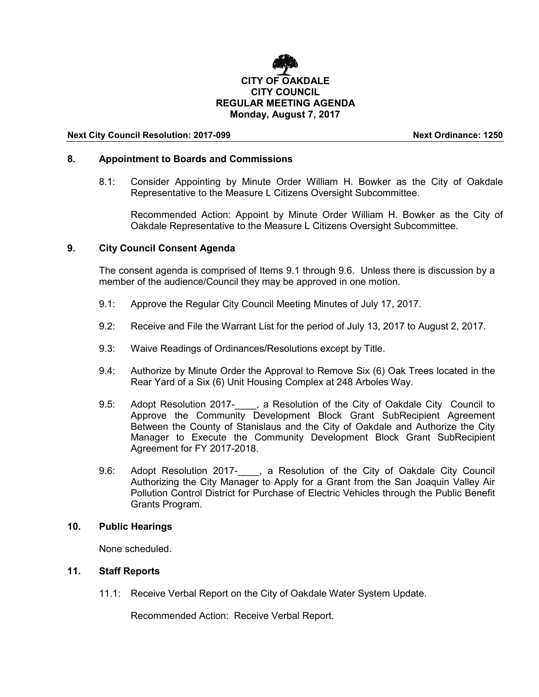

#### **Next City Council Resolution: 2017-099 Next Ordinance: 1250**

#### **8. Appointment to Boards and Commissions**

8.1: Consider Appointing by Minute Order William H. Bowker as the City of Oakdale Representative to the Measure L Citizens Oversight Subcommittee.

Recommended Action: Appoint by Minute Order William H. Bowker as the City of Oakdale Representative to the Measure L Citizens Oversight Subcommittee.

#### **9. City Council Consent Agenda**

The consent agenda is comprised of Items 9.1 through 9.6. Unless there is discussion by a member of the audience/Council they may be approved in one motion.

- 9.1: Approve the Regular City Council Meeting Minutes of July 17, 2017.
- 9.2: Receive and File the Warrant List for the period of July 13, 2017 to August 2, 2017.
- 9.3: Waive Readings of Ordinances/Resolutions except by Title.
- 9.4: Authorize by Minute Order the Approval to Remove Six (6) Oak Trees located in the Rear Yard of a Six (6) Unit Housing Complex at 248 Arboles Way.
- 9.5: Adopt Resolution 2017-\_\_\_\_, a Resolution of the City of Oakdale City Council to Approve the Community Development Block Grant SubRecipient Agreement Between the County of Stanislaus and the City of Oakdale and Authorize the City Manager to Execute the Community Development Block Grant SubRecipient Agreement for FY 2017-2018.
- 9.6: Adopt Resolution 2017-<br>
<sub>
1</sub> a Resolution of the City of Oakdale City Council Authorizing the City Manager to Apply for a Grant from the San Joaquin Valley Air Pollution Control District for Purchase of Electric Vehicles through the Public Benefit Grants Program.

#### **10. Public Hearings**

None scheduled.

## **11. Staff Reports**

11.1: Receive Verbal Report on the City of Oakdale Water System Update.

Recommended Action: Receive Verbal Report.